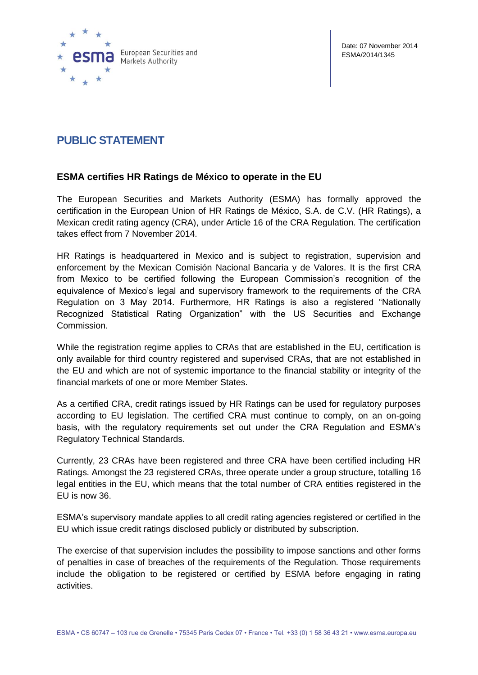

Date: 07 November 2014 ESMA/2014/1345

## **PUBLIC STATEMENT**

## **ESMA certifies HR Ratings de México to operate in the EU**

The European Securities and Markets Authority (ESMA) has formally approved the certification in the European Union of HR Ratings de México, S.A. de C.V. (HR Ratings), a Mexican credit rating agency (CRA), under Article 16 of the CRA Regulation. The certification takes effect from 7 November 2014.

HR Ratings is headquartered in Mexico and is subject to registration, supervision and enforcement by the Mexican Comisión Nacional Bancaria y de Valores. It is the first CRA from Mexico to be certified following the European Commission's recognition of the equivalence of Mexico's legal and supervisory framework to the requirements of the CRA Regulation on 3 May 2014. Furthermore, HR Ratings is also a registered "Nationally Recognized Statistical Rating Organization" with the US Securities and Exchange Commission.

While the registration regime applies to CRAs that are established in the EU, certification is only available for third country registered and supervised CRAs, that are not established in the EU and which are not of systemic importance to the financial stability or integrity of the financial markets of one or more Member States.

As a certified CRA, credit ratings issued by HR Ratings can be used for regulatory purposes according to EU legislation. The certified CRA must continue to comply, on an on-going basis, with the regulatory requirements set out under the CRA Regulation and ESMA's Regulatory Technical Standards.

Currently, 23 CRAs have been registered and three CRA have been certified including HR Ratings. Amongst the 23 registered CRAs, three operate under a group structure, totalling 16 legal entities in the EU, which means that the total number of CRA entities registered in the EU is now 36.

ESMA's supervisory mandate applies to all credit rating agencies registered or certified in the EU which issue credit ratings disclosed publicly or distributed by subscription.

The exercise of that supervision includes the possibility to impose sanctions and other forms of penalties in case of breaches of the requirements of the Regulation. Those requirements include the obligation to be registered or certified by ESMA before engaging in rating activities.